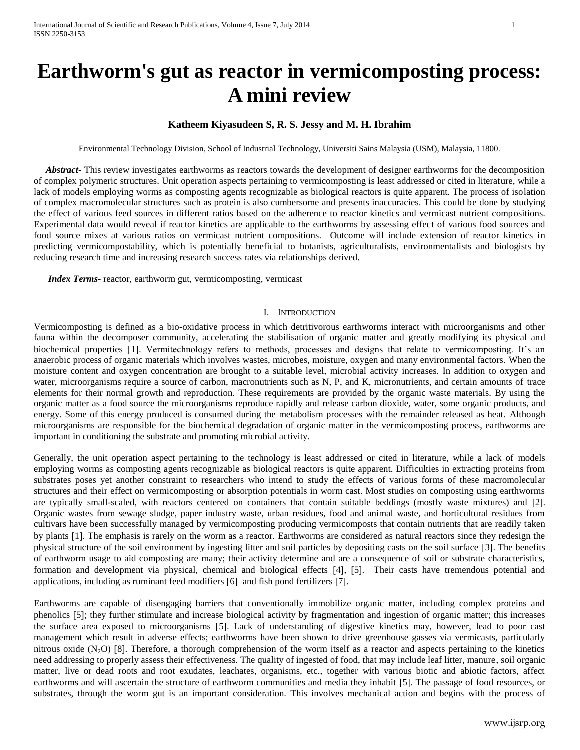# **Earthworm's gut as reactor in vermicomposting process: A mini review**

## **Katheem Kiyasudeen S, R. S. Jessy and M. H. Ibrahim**

Environmental Technology Division, School of Industrial Technology, Universiti Sains Malaysia (USM), Malaysia, 11800.

 *Abstract***-** This review investigates earthworms as reactors towards the development of designer earthworms for the decomposition of complex polymeric structures. Unit operation aspects pertaining to vermicomposting is least addressed or cited in literature, while a lack of models employing worms as composting agents recognizable as biological reactors is quite apparent. The process of isolation of complex macromolecular structures such as protein is also cumbersome and presents inaccuracies. This could be done by studying the effect of various feed sources in different ratios based on the adherence to reactor kinetics and vermicast nutrient compositions. Experimental data would reveal if reactor kinetics are applicable to the earthworms by assessing effect of various food sources and food source mixes at various ratios on vermicast nutrient compositions. Outcome will include extension of reactor kinetics in predicting vermicompostability, which is potentially beneficial to botanists, agriculturalists, environmentalists and biologists by reducing research time and increasing research success rates via relationships derived.

 *Index Terms*- reactor, earthworm gut, vermicomposting, vermicast

#### I. INTRODUCTION

Vermicomposting is defined as a bio-oxidative process in which detritivorous earthworms interact with microorganisms and other fauna within the decomposer community, accelerating the stabilisation of organic matter and greatly modifying its physical and biochemical properties [1]. Vermitechnology refers to methods, processes and designs that relate to vermicomposting. It's an anaerobic process of organic materials which involves wastes, microbes, moisture, oxygen and many environmental factors. When the moisture content and oxygen concentration are brought to a suitable level, microbial activity increases. In addition to oxygen and water, microorganisms require a source of carbon, macronutrients such as N, P, and K, micronutrients, and certain amounts of trace elements for their normal growth and reproduction. These requirements are provided by the organic waste materials. By using the organic matter as a food source the microorganisms reproduce rapidly and release carbon dioxide, water, some organic products, and energy. Some of this energy produced is consumed during the metabolism processes with the remainder released as heat. Although microorganisms are responsible for the biochemical degradation of organic matter in the vermicomposting process, earthworms are important in conditioning the substrate and promoting microbial activity.

Generally, the unit operation aspect pertaining to the technology is least addressed or cited in literature, while a lack of models employing worms as composting agents recognizable as biological reactors is quite apparent. Difficulties in extracting proteins from substrates poses yet another constraint to researchers who intend to study the effects of various forms of these macromolecular structures and their effect on vermicomposting or absorption potentials in worm cast. Most studies on composting using earthworms are typically small-scaled, with reactors centered on containers that contain suitable beddings (mostly waste mixtures) and [2]. Organic wastes from sewage sludge, paper industry waste, urban residues, food and animal waste, and horticultural residues from cultivars have been successfully managed by vermicomposting producing vermicomposts that contain nutrients that are readily taken by plants [1]. The emphasis is rarely on the worm as a reactor. Earthworms are considered as natural reactors since they redesign the physical structure of the soil environment by ingesting litter and soil particles by depositing casts on the soil surface [3]. The benefits of earthworm usage to aid composting are many; their activity determine and are a consequence of soil or substrate characteristics, formation and development via physical, chemical and biological effects [4], [5]. Their casts have tremendous potential and applications, including as ruminant feed modifiers [6] and fish pond fertilizers [7].

Earthworms are capable of disengaging barriers that conventionally immobilize organic matter, including complex proteins and phenolics [5]; they further stimulate and increase biological activity by fragmentation and ingestion of organic matter; this increases the surface area exposed to microorganisms [5]. Lack of understanding of digestive kinetics may, however, lead to poor cast management which result in adverse effects; earthworms have been shown to drive greenhouse gasses via vermicasts, particularly nitrous oxide  $(N_2O)$  [8]. Therefore, a thorough comprehension of the worm itself as a reactor and aspects pertaining to the kinetics need addressing to properly assess their effectiveness. The quality of ingested of food, that may include leaf litter, manure, soil organic matter, live or dead roots and root exudates, leachates, organisms, etc., together with various biotic and abiotic factors, affect earthworms and will ascertain the structure of earthworm communities and media they inhabit [5]. The passage of food resources, or substrates, through the worm gut is an important consideration. This involves mechanical action and begins with the process of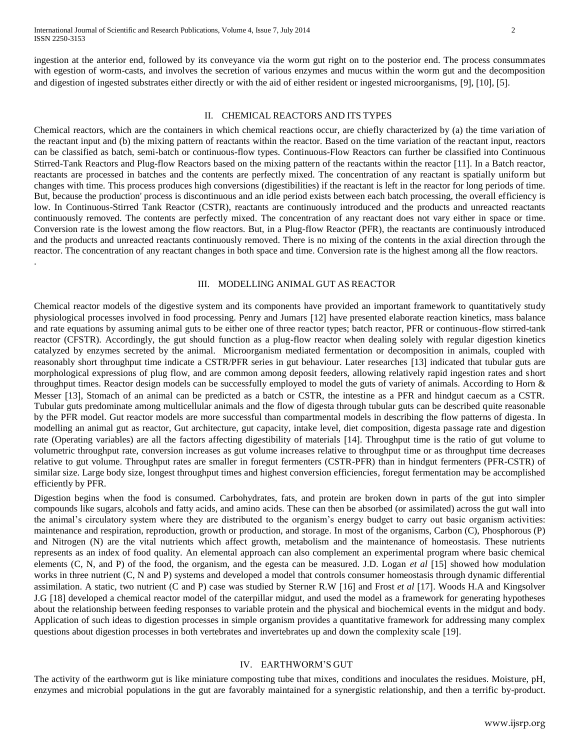.

ingestion at the anterior end, followed by its conveyance via the worm gut right on to the posterior end. The process consummates with egestion of worm-casts, and involves the secretion of various enzymes and mucus within the worm gut and the decomposition and digestion of ingested substrates either directly or with the aid of either resident or ingested microorganisms, [9], [10], [5].

#### II. CHEMICAL REACTORS AND ITS TYPES

Chemical reactors, which are the containers in which chemical reactions occur, are chiefly characterized by (a) the time variation of the reactant input and (b) the mixing pattern of reactants within the reactor. Based on the time variation of the reactant input, reactors can be classified as batch, semi-batch or continuous-flow types. Continuous-Flow Reactors can further be classified into Continuous Stirred-Tank Reactors and Plug-flow Reactors based on the mixing pattern of the reactants within the reactor [11]. In a Batch reactor, reactants are processed in batches and the contents are perfectly mixed. The concentration of any reactant is spatially uniform but changes with time. This process produces high conversions (digestibilities) if the reactant is left in the reactor for long periods of time. But, because the production' process is discontinuous and an idle period exists between each batch processing, the overall efficiency is low. In Continuous-Stirred Tank Reactor (CSTR), reactants are continuously introduced and the products and unreacted reactants continuously removed. The contents are perfectly mixed. The concentration of any reactant does not vary either in space or time. Conversion rate is the lowest among the flow reactors. But, in a Plug-fIow Reactor (PFR), the reactants are continuously introduced and the products and unreacted reactants continuously removed. There is no mixing of the contents in the axial direction through the reactor. The concentration of any reactant changes in both space and time. Conversion rate is the highest among all the flow reactors.

## III. MODELLING ANIMAL GUT AS REACTOR

Chemical reactor models of the digestive system and its components have provided an important framework to quantitatively study physiological processes involved in food processing. Penry and Jumars [12] have presented elaborate reaction kinetics, mass balance and rate equations by assuming animal guts to be either one of three reactor types; batch reactor, PFR or continuous-flow stirred-tank reactor (CFSTR). Accordingly, the gut should function as a plug-flow reactor when dealing solely with regular digestion kinetics catalyzed by enzymes secreted by the animal. Microorganism mediated fermentation or decomposition in animals, coupled with reasonably short throughput time indicate a CSTR/PFR series in gut behaviour. Later researches [13] indicated that tubular guts are morphological expressions of plug flow, and are common among deposit feeders, allowing relatively rapid ingestion rates and short throughput times. Reactor design models can be successfully employed to model the guts of variety of animals. According to Horn & Messer [13], Stomach of an animal can be predicted as a batch or CSTR, the intestine as a PFR and hindgut caecum as a CSTR. Tubular guts predominate among multicellular animals and the flow of digesta through tubular guts can be described quite reasonable by the PFR model. Gut reactor models are more successful than compartmental models in describing the flow patterns of digesta. In modelling an animal gut as reactor, Gut architecture, gut capacity, intake level, diet composition, digesta passage rate and digestion rate (Operating variables) are all the factors affecting digestibility of materials [14]. Throughput time is the ratio of gut volume to volumetric throughput rate, conversion increases as gut volume increases relative to throughput time or as throughput time decreases relative to gut volume. Throughput rates are smaller in foregut fermenters (CSTR-PFR) than in hindgut fermenters (PFR-CSTR) of similar size. Large body size, longest throughput times and highest conversion efficiencies, foregut fermentation may be accomplished efficiently by PFR.

Digestion begins when the food is consumed. Carbohydrates, fats, and protein are broken down in parts of the gut into simpler compounds like sugars, alcohols and fatty acids, and amino acids. These can then be absorbed (or assimilated) across the gut wall into the animal's circulatory system where they are distributed to the organism's energy budget to carry out basic organism activities: maintenance and respiration, reproduction, growth or production, and storage. In most of the organisms, Carbon (C), Phosphorous (P) and Nitrogen (N) are the vital nutrients which affect growth, metabolism and the maintenance of homeostasis. These nutrients represents as an index of food quality. An elemental approach can also complement an experimental program where basic chemical elements (C, N, and P) of the food, the organism, and the egesta can be measured. J.D. Logan *et al* [15] showed how modulation works in three nutrient (C, N and P) systems and developed a model that controls consumer homeostasis through dynamic differential assimilation. A static, two nutrient (C and P) case was studied by Sterner R.W [16] and Frost et al [17]. Woods H.A and Kingsolver J.G 18 developed a chemical reactor model of the caterpillar midgut, and used the model as a framework for generating hypotheses about the relationship between feeding responses to variable protein and the physical and biochemical events in the midgut and body. Application of such ideas to digestion processes in simple organism provides a quantitative framework for addressing many complex questions about digestion processes in both vertebrates and invertebrates up and down the complexity scale [19].

#### IV. EARTHWORM'S GUT

The activity of the earthworm gut is like miniature composting tube that mixes, conditions and inoculates the residues. Moisture, pH, enzymes and microbial populations in the gut are favorably maintained for a synergistic relationship, and then a terrific by-product.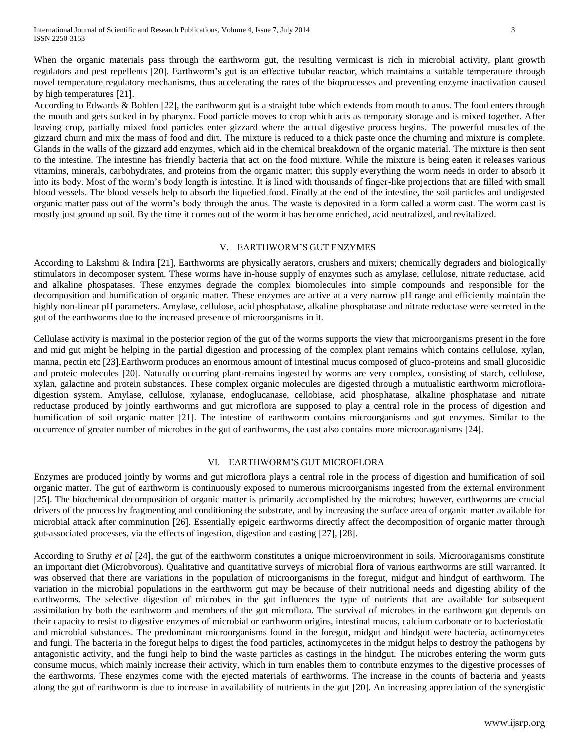When the organic materials pass through the earthworm gut, the resulting vermicast is rich in microbial activity, plant growth regulators and pest repellents [20]. Earthworm's gut is an effective tubular reactor, which maintains a suitable temperature through novel temperature regulatory mechanisms, thus accelerating the rates of the bioprocesses and preventing enzyme inactivation caused by high temperatures [21].

According to Edwards & Bohlen [22], the earthworm gut is a straight tube which extends from mouth to anus. The food enters through the mouth and gets sucked in by pharynx. Food particle moves to crop which acts as temporary storage and is mixed together. After leaving crop, partially mixed food particles enter gizzard where the actual digestive process begins. The powerful muscles of the gizzard churn and mix the mass of food and dirt. The mixture is reduced to a thick paste once the churning and mixture is complete. Glands in the walls of the gizzard add enzymes, which aid in the chemical breakdown of the organic material. The mixture is then sent to the intestine. The intestine has friendly bacteria that act on the food mixture. While the mixture is being eaten it releases various vitamins, minerals, carbohydrates, and proteins from the organic matter; this supply everything the worm needs in order to absorb it into its body. Most of the worm's body length is intestine. It is lined with thousands of finger-like projections that are filled with small blood vessels. The blood vessels help to absorb the liquefied food. Finally at the end of the intestine, the soil particles and undigested organic matter pass out of the worm's body through the anus. The waste is deposited in a form called a worm cast. The worm cast is mostly just ground up soil. By the time it comes out of the worm it has become enriched, acid neutralized, and revitalized.

## V. EARTHWORM'S GUT ENZYMES

According to Lakshmi & Indira [21], Earthworms are physically aerators, crushers and mixers; chemically degraders and biologically stimulators in decomposer system. These worms have in-house supply of enzymes such as amylase, cellulose, nitrate reductase, acid and alkaline phospatases. These enzymes degrade the complex biomolecules into simple compounds and responsible for the decomposition and humification of organic matter. These enzymes are active at a very narrow pH range and efficiently maintain the highly non-linear pH parameters. Amylase, cellulose, acid phosphatase, alkaline phosphatase and nitrate reductase were secreted in the gut of the earthworms due to the increased presence of microorganisms in it.

Cellulase activity is maximal in the posterior region of the gut of the worms supports the view that microorganisms present in the fore and mid gut might be helping in the partial digestion and processing of the complex plant remains which contains cellulose, xylan, manna, pectin etc [23]. Earthworm produces an enormous amount of intestinal mucus composed of gluco-proteins and small glucosidic and proteic molecules [20]. Naturally occurring plant-remains ingested by worms are very complex, consisting of starch, cellulose, xylan, galactine and protein substances. These complex organic molecules are digested through a mutualistic earthworm microfloradigestion system. Amylase, cellulose, xylanase, endoglucanase, cellobiase, acid phosphatase, alkaline phosphatase and nitrate reductase produced by jointly earthworms and gut microflora are supposed to play a central role in the process of digestion and humification of soil organic matter [21]. The intestine of earthworm contains microorganisms and gut enzymes. Similar to the occurrence of greater number of microbes in the gut of earthworms, the cast also contains more microoraganisms 24.

#### VI. EARTHWORM'S GUT MICROFLORA

Enzymes are produced jointly by worms and gut microflora plays a central role in the process of digestion and humification of soil organic matter. The gut of earthworm is continuously exposed to numerous microorganisms ingested from the external environment [25]. The biochemical decomposition of organic matter is primarily accomplished by the microbes; however, earthworms are crucial drivers of the process by fragmenting and conditioning the substrate, and by increasing the surface area of organic matter available for microbial attack after comminution [26]. Essentially epigeic earthworms directly affect the decomposition of organic matter through gut-associated processes, via the effects of ingestion, digestion and casting [27], [28].

According to Sruthy *et al* [24], the gut of the earthworm constitutes a unique microenvironment in soils. Microoraganisms constitute an important diet (Microbvorous). Qualitative and quantitative surveys of microbial flora of various earthworms are still warranted. It was observed that there are variations in the population of microorganisms in the foregut, midgut and hindgut of earthworm. The variation in the microbial populations in the earthworm gut may be because of their nutritional needs and digesting ability of the earthworms. The selective digestion of microbes in the gut influences the type of nutrients that are available for subsequent assimilation by both the earthworm and members of the gut microflora. The survival of microbes in the earthworn gut depends on their capacity to resist to digestive enzymes of microbial or earthworm origins, intestinal mucus, calcium carbonate or to bacteriostatic and microbial substances. The predominant microorganisms found in the foregut, midgut and hindgut were bacteria, actinomycetes and fungi. The bacteria in the foregut helps to digest the food particles, actinomycetes in the midgut helps to destroy the pathogens by antagonistic activity, and the fungi help to bind the waste particles as castings in the hindgut. The microbes entering the worm guts consume mucus, which mainly increase their activity, which in turn enables them to contribute enzymes to the digestive processes of the earthworms. These enzymes come with the ejected materials of earthworms. The increase in the counts of bacteria and yeasts along the gut of earthworm is due to increase in availability of nutrients in the gut [20]. An increasing appreciation of the synergistic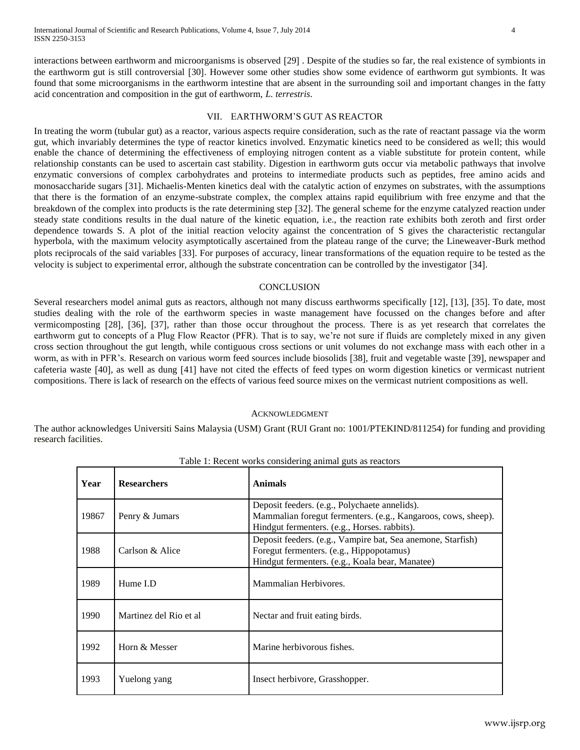interactions between earthworm and microorganisms is observed [29]. Despite of the studies so far, the real existence of symbionts in the earthworm gut is still controversial [30]. However some other studies show some evidence of earthworm gut symbionts. It was found that some microorganisms in the earthworm intestine that are absent in the surrounding soil and important changes in the fatty acid concentration and composition in the gut of earthworm, *L. terrestris*.

## VII. EARTHWORM'S GUT AS REACTOR

In treating the worm (tubular gut) as a reactor, various aspects require consideration, such as the rate of reactant passage via the worm gut, which invariably determines the type of reactor kinetics involved. Enzymatic kinetics need to be considered as well; this would enable the chance of determining the effectiveness of employing nitrogen content as a viable substitute for protein content, while relationship constants can be used to ascertain cast stability. Digestion in earthworm guts occur via metabolic pathways that involve enzymatic conversions of complex carbohydrates and proteins to intermediate products such as peptides, free amino acids and monosaccharide sugars [31]. Michaelis-Menten kinetics deal with the catalytic action of enzymes on substrates, with the assumptions that there is the formation of an enzyme-substrate complex, the complex attains rapid equilibrium with free enzyme and that the breakdown of the complex into products is the rate determining step [32]. The general scheme for the enzyme catalyzed reaction under steady state conditions results in the dual nature of the kinetic equation, i.e., the reaction rate exhibits both zeroth and first order dependence towards S. A plot of the initial reaction velocity against the concentration of S gives the characteristic rectangular hyperbola, with the maximum velocity asymptotically ascertained from the plateau range of the curve; the Lineweaver-Burk method plots reciprocals of the said variables [33]. For purposes of accuracy, linear transformations of the equation require to be tested as the velocity is subject to experimental error, although the substrate concentration can be controlled by the investigator [34].

## **CONCLUSION**

Several researchers model animal guts as reactors, although not many discuss earthworms specifically [12], [13], [35]. To date, most studies dealing with the role of the earthworm species in waste management have focussed on the changes before and after vermicomposting [28], [36], [37], rather than those occur throughout the process. There is as yet research that correlates the earthworm gut to concepts of a Plug Flow Reactor (PFR). That is to say, we're not sure if fluids are completely mixed in any given cross section throughout the gut length, while contiguous cross sections or unit volumes do not exchange mass with each other in a worm, as with in PFR's. Research on various worm feed sources include biosolids [38], fruit and vegetable waste [39], newspaper and cafeteria waste [40], as well as dung [41] have not cited the effects of feed types on worm digestion kinetics or vermicast nutrient compositions. There is lack of research on the effects of various feed source mixes on the vermicast nutrient compositions as well.

#### ACKNOWLEDGMENT

The author acknowledges Universiti Sains Malaysia (USM) Grant (RUI Grant no: 1001/PTEKIND/811254) for funding and providing research facilities.

| Year  | <b>Researchers</b>     | <b>Animals</b>                                                                                                                                                 |
|-------|------------------------|----------------------------------------------------------------------------------------------------------------------------------------------------------------|
| 19867 | Penry & Jumars         | Deposit feeders. (e.g., Polychaete annelids).<br>Mammalian foregut fermenters. (e.g., Kangaroos, cows, sheep).<br>Hindgut fermenters. (e.g., Horses. rabbits). |
| 1988  | Carlson & Alice        | Deposit feeders. (e.g., Vampire bat, Sea anemone, Starfish)<br>Foregut fermenters. (e.g., Hippopotamus)<br>Hindgut fermenters. (e.g., Koala bear, Manatee)     |
| 1989  | Hume I.D               | Mammalian Herbivores.                                                                                                                                          |
| 1990  | Martinez del Rio et al | Nectar and fruit eating birds.                                                                                                                                 |
| 1992  | Horn & Messer          | Marine herbivorous fishes.                                                                                                                                     |
| 1993  | Yuelong yang           | Insect herbivore, Grasshopper.                                                                                                                                 |

Table 1: Recent works considering animal guts as reactors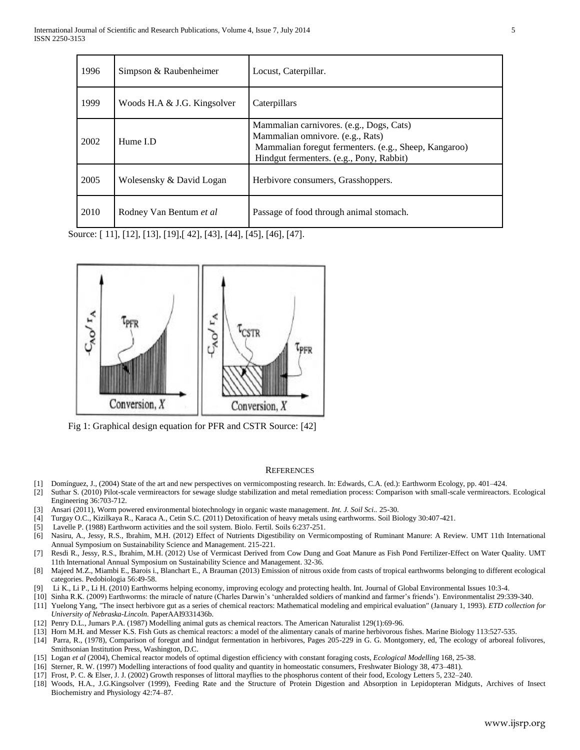| 1996 | Simpson & Raubenheimer      | Locust, Caterpillar.                                                                                                                                                              |
|------|-----------------------------|-----------------------------------------------------------------------------------------------------------------------------------------------------------------------------------|
| 1999 | Woods H.A & J.G. Kingsolver | Caterpillars                                                                                                                                                                      |
| 2002 | Hume LD                     | Mammalian carnivores. (e.g., Dogs, Cats)<br>Mammalian omnivore. (e.g., Rats)<br>Mammalian foregut fermenters. (e.g., Sheep, Kangaroo)<br>Hindgut fermenters. (e.g., Pony, Rabbit) |
| 2005 | Wolesensky & David Logan    | Herbivore consumers, Grasshoppers.                                                                                                                                                |
| 2010 | Rodney Van Bentum et al     | Passage of food through animal stomach.                                                                                                                                           |

Source: [11], [12], [13], [19], [42], [43], [44], [45], [46], [47].



Fig 1: Graphical design equation for PFR and CSTR Source: [42]

#### **REFERENCES**

- [1] Domínguez, J., (2004) State of the art and new perspectives on vermicomposting research. In: Edwards, C.A. (ed.): Earthworm Ecology, pp. 401–424.
- [2] Suthar S. (2010) Pilot-scale vermireactors for sewage sludge stabilization and metal remediation process: Comparison with small-scale vermireactors. Ecological Engineering 36:703-712.
- [3] Ansari (2011), Worm powered environmental biotechnology in organic waste management. *Int. J. Soil Sci..* 25-30.
- [4] Turgay O.C., Kizilkaya R., Karaca A., Cetin S.C. (2011) Detoxification of heavy metals using earthworms. Soil Biology 30:407-421.
- [5] Lavelle P. (1988) Earthworm activities and the soil system. Biolo. Fertil. Soils 6:237-251.
- [6] Nasiru, A., Jessy, R.S., Ibrahim, M.H. (2012) Effect of Nutrients Digestibility on Vermicomposting of Ruminant Manure: A Review. UMT 11th International Annual Symposium on Sustainability Science and Management. 215-221.
- [7] Resdi R., Jessy, R.S., Ibrahim, M.H. (2012) Use of Vermicast Derived from Cow Dung and Goat Manure as Fish Pond Fertilizer-Effect on Water Quality. UMT 11th International Annual Symposium on Sustainability Science and Management. 32-36.
- [8] Majeed M.Z., Miambi E., Barois i., Blanchart E., A Brauman (2013) Emission of nitrous oxide from casts of tropical earthworms belonging to different ecological categories. Pedobiologia 56:49-58.
- [9] Li K., Li P., Li H. (2010) Earthworms helping economy, improving ecology and protecting health. Int. Journal of Global Environmental Issues 10:3-4.
- [10] Sinha R.K. (2009) Earthworms: the miracle of nature (Charles Darwin's 'unheralded soldiers of mankind and farmer's friends'). Environmentalist 29:339-340.
- [11] Yuelong Yang, "The insect herbivore gut as a series of chemical reactors: Mathematical modeling and empirical evaluation" (January 1, 1993). *ETD collection for University of Nebraska-Lincoln.* PaperAAI9331436b.
- [12] Penry D.L., Jumars P.A. (1987) Modelling animal guts as chemical reactors. The American Naturalist 129(1):69-96.
- [13] Horn M.H. and Messer K.S. Fish Guts as chemical reactors: a model of the alimentary canals of marine herbivorous fishes. Marine Biology 113:527-535.
- [14] Parra, R., (1978), Comparison of foregut and hindgut fermentation in herbivores, Pages 205-229 in G. G. Montgomery, ed, The ecology of arboreal folivores, Smithsonian Institution Press, Washington, D.C.
- [15] Logan *et al* (2004), Chemical reactor models of optimal digestion efficiency with constant foraging costs, *Ecological Modelling* 168, 25-38.
- [16] Sterner, R. W. (1997) Modelling interactions of food quality and quantity in homeostatic consumers, Freshwater Biology 38, 473–481).
- [17] Frost, P. C. & Elser, J. J. (2002) Growth responses of littoral mayflies to the phosphorus content of their food, Ecology Letters 5, 232–240.
- [18] Woods, H.A., J.G.Kingsolver (1999), Feeding Rate and the Structure of Protein Digestion and Absorption in Lepidopteran Midguts, Archives of Insect Biochemistry and Physiology 42:74–87.